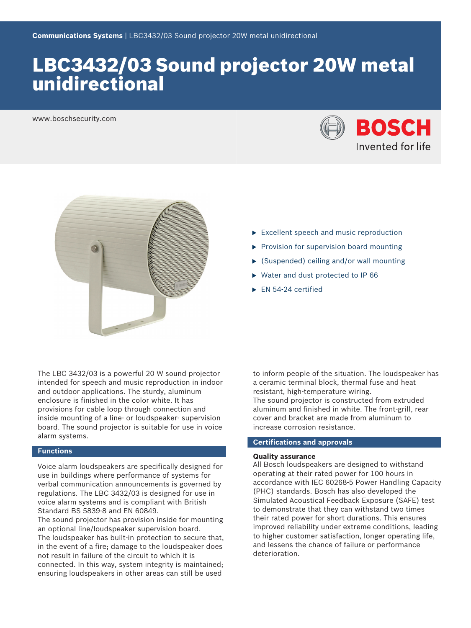# LBC3432/03 Sound projector 20W metal unidirectional

www.boschsecurity.com





- $\triangleright$  Excellent speech and music reproduction
- $\triangleright$  Provision for supervision board mounting
- $\triangleright$  (Suspended) ceiling and/or wall mounting
- $\triangleright$  Water and dust protected to IP 66
- $\blacktriangleright$  EN 54-24 certified

The LBC 3432/03 is a powerful 20 W sound projector intended for speech and music reproduction in indoor and outdoor applications. The sturdy, aluminum enclosure is finished in the color white. It has provisions for cable loop through connection and inside mounting of a line- or loudspeaker- supervision board. The sound projector is suitable for use in voice alarm systems.

# **Functions**

Voice alarm loudspeakers are specifically designed for use in buildings where performance of systems for verbal communication announcements is governed by regulations. The LBC 3432/03 is designed for use in voice alarm systems and is compliant with British Standard BS 5839‑8 and EN 60849.

The sound projector has provision inside for mounting an optional line/loudspeaker supervision board. The loudspeaker has built-in protection to secure that, in the event of a fire; damage to the loudspeaker does not result in failure of the circuit to which it is connected. In this way, system integrity is maintained; ensuring loudspeakers in other areas can still be used

to inform people of the situation. The loudspeaker has a ceramic terminal block, thermal fuse and heat resistant, high-temperature wiring. The sound projector is constructed from extruded aluminum and finished in white. The front-grill, rear cover and bracket are made from aluminum to increase corrosion resistance.

# **Certifications and approvals**

# **Quality assurance**

All Bosch loudspeakers are designed to withstand operating at their rated power for 100 hours in accordance with IEC 60268-5 Power Handling Capacity (PHC) standards. Bosch has also developed the Simulated Acoustical Feedback Exposure (SAFE) test to demonstrate that they can withstand two times their rated power for short durations. This ensures improved reliability under extreme conditions, leading to higher customer satisfaction, longer operating life, and lessens the chance of failure or performance deterioration.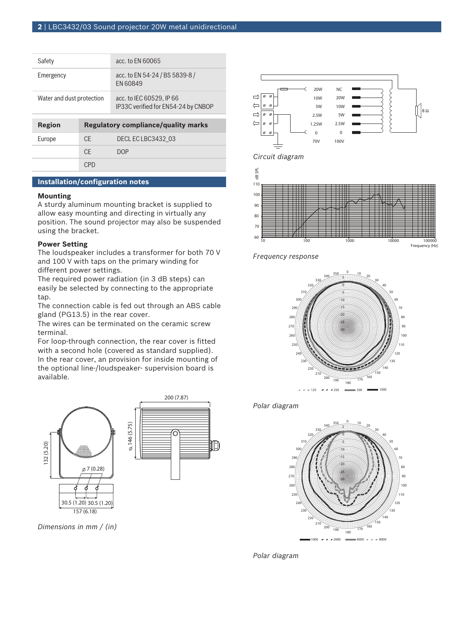| Safety                    |     | acc. to EN 60065                                                |  |
|---------------------------|-----|-----------------------------------------------------------------|--|
| Emergency                 |     | acc. to EN 54-24 / BS 5839-8 /<br>FN 60849                      |  |
| Water and dust protection |     | acc. to IEC 60529. IP 66<br>IP33C verified for EN54-24 by CNBOP |  |
|                           |     |                                                                 |  |
| Region                    |     | <b>Regulatory compliance/quality marks</b>                      |  |
| Europe                    | CF. | DECLECLBC3432 03                                                |  |
|                           | CF. | <b>DOP</b>                                                      |  |

# **Installation/configuration notes**

#### **Mounting**

A sturdy aluminum mounting bracket is supplied to allow easy mounting and directing in virtually any position. The sound projector may also be suspended using the bracket.

# **Power Setting**

The loudspeaker includes a transformer for both 70 V and 100 V with taps on the primary winding for different power settings.

The required power radiation (in 3 dB steps) can easily be selected by connecting to the appropriate tap.

The connection cable is fed out through an ABS cable gland (PG13.5) in the rear cover.

The wires can be terminated on the ceramic screw terminal.

For loop-through connection, the rear cover is fitted with a second hole (covered as standard supplied). In the rear cover, an provision for inside mounting of the optional line-/loudspeaker- supervision board is available.



*Dimensions in mm / (in)*







*Frequency response*







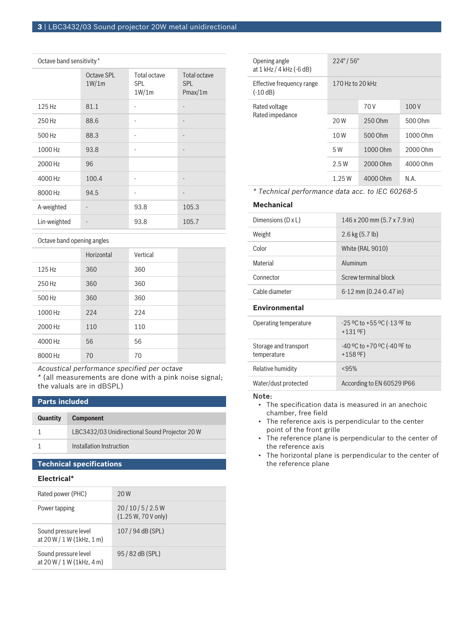#### Octave band sensitivity \*

|              | Octave SPL<br>1W/1m | Total octave<br><b>SPL</b><br>1W/1m | <b>Total octave</b><br><b>SPL</b><br>Pmax/1m |
|--------------|---------------------|-------------------------------------|----------------------------------------------|
| 125 Hz       | 81.1                | ٠                                   |                                              |
| 250 Hz       | 88.6                | ٠                                   |                                              |
| 500 Hz       | 88.3                | ٠                                   | -                                            |
| 1000 Hz      | 93.8                | ٠                                   |                                              |
| 2000 Hz      | 96                  |                                     |                                              |
| 4000 Hz      | 100.4               | ٠                                   | $\overline{\phantom{m}}$                     |
| 8000 Hz      | 94.5                | ٠                                   |                                              |
| A-weighted   |                     | 93.8                                | 105.3                                        |
| Lin-weighted |                     | 93.8                                | 105.7                                        |

## Octave band opening angles

|         | Horizontal | Vertical |  |
|---------|------------|----------|--|
| 125 Hz  | 360        | 360      |  |
| 250 Hz  | 360        | 360      |  |
| 500 Hz  | 360        | 360      |  |
| 1000 Hz | 224        | 224      |  |
| 2000 Hz | 110        | 110      |  |
| 4000 Hz | 56         | 56       |  |
| 8000 Hz | 70         | 70       |  |

*Acoustical performance specified per octave*

*\** (all measurements are done with a pink noise signal; the valuals are in dBSPL)

# **Parts included**

| <b>Quantity</b> | <b>Component</b>                               |
|-----------------|------------------------------------------------|
|                 | LBC3432/03 Unidirectional Sound Projector 20 W |
|                 | Installation Instruction                       |
|                 |                                                |

# **Technical specifications**

# **Electrical\***

| Rated power (PHC)                                    | 20 W                                  |
|------------------------------------------------------|---------------------------------------|
| Power tapping                                        | 20/10/5/2.5W<br>$(1.25 W, 70 V$ only) |
| Sound pressure level<br>at 20 W / 1 W (1kHz, 1 m)    | 107 / 94 dB (SPL)                     |
| Sound pressure level<br>at $20 W / 1 W (1 kHz, 4 m)$ | 95/82 dB (SPL)                        |

| Opening angle<br>at 1 kHz / 4 kHz (-6 dB) | $224^{\circ}/56^{\circ}$ |          |          |
|-------------------------------------------|--------------------------|----------|----------|
| Effective frequency range<br>$(-10 dB)$   | 170 Hz to 20 kHz         |          |          |
| Rated voltage<br>Rated impedance          |                          | 70 V     | 100 V    |
|                                           | 20 W                     | 250 Ohm  | 500 Ohm  |
|                                           | 10W                      | 500 Ohm  | 1000 Ohm |
|                                           | 5 W                      | 1000 Ohm | 2000 Ohm |
|                                           | 2.5W                     | 2000 Ohm | 4000 Ohm |
|                                           | 1.25W                    | 4000 Ohm | N.A.     |

*\* Technical performance data acc. to IEC 60268-5*

#### **Mechanical**

| Dimensions $(D \times L)$ | 146 x 200 mm (5.7 x 7.9 in) |
|---------------------------|-----------------------------|
| Weight                    | $2.6$ kg $(5.7$ lb)         |
| Color                     | White (RAL 9010)            |
| Material                  | Aluminum                    |
| Connector                 | Screw terminal block        |
| Cable diameter            | $6-12$ mm $(0.24-0.47)$ in  |

# **Environmental**

| Operating temperature                | -25 °C to +55 °C (-13 °F to<br>$+131$ °F)      |
|--------------------------------------|------------------------------------------------|
| Storage and transport<br>temperature | $-40$ °C to +70 °C ( $-40$ °F to<br>$+158$ °F) |
| Relative humidity                    | < 95%                                          |
| Water/dust protected                 | According to EN 60529 IP66                     |

# Note:

- The specification data is measured in an anechoic chamber, free field
- The reference axis is perpendicular to the center point of the front grille
- The reference plane is perpendicular to the center of the reference axis
- The horizontal plane is perpendicular to the center of the reference plane